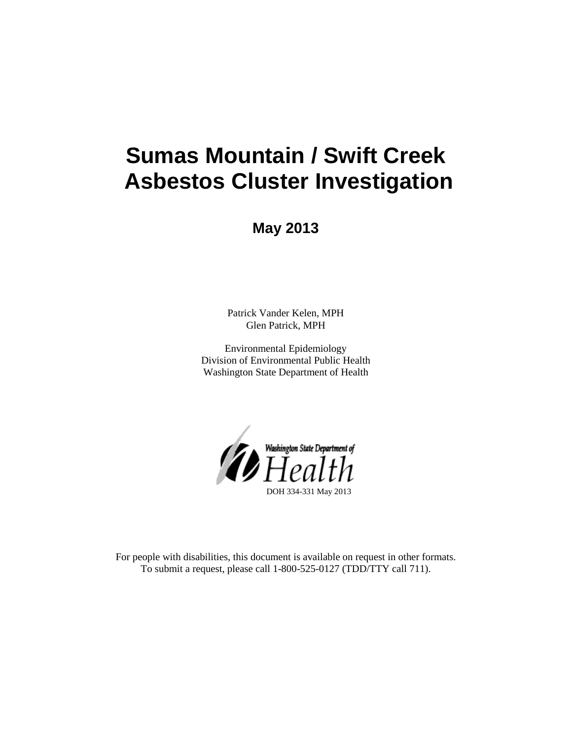# **Sumas Mountain / Swift Creek Asbestos Cluster Investigation**

**May 2013**

Patrick Vander Kelen, MPH Glen Patrick, MPH

Environmental Epidemiology Division of Environmental Public Health Washington State Department of Health



For people with disabilities, this document is available on request in other formats. To submit a request, please call 1-800-525-0127 (TDD/TTY call 711).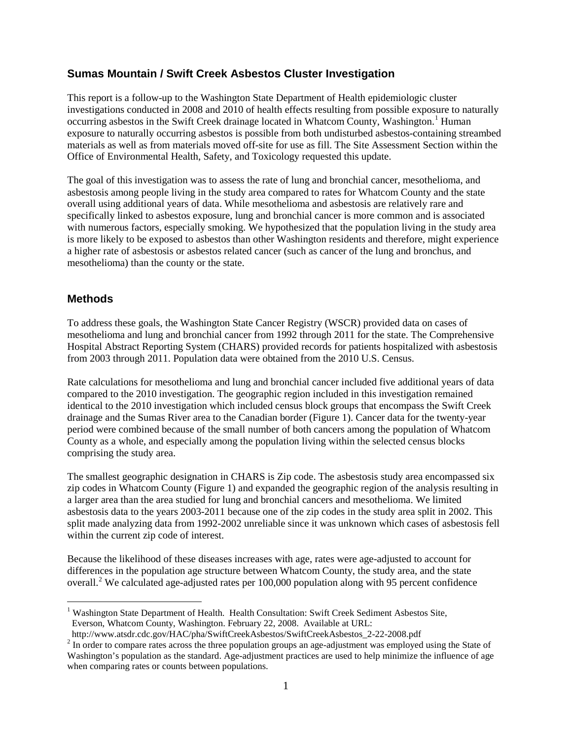# **Sumas Mountain / Swift Creek Asbestos Cluster Investigation**

This report is a follow-up to the Washington State Department of Health epidemiologic cluster investigations conducted in 2008 and 2010 of health effects resulting from possible exposure to naturally occurring asbestos in the Swift Creek drainage located in Whatcom County, Washington.<sup>[1](#page-1-0)</sup> Human exposure to naturally occurring asbestos is possible from both undisturbed asbestos-containing streambed materials as well as from materials moved off-site for use as fill. The Site Assessment Section within the Office of Environmental Health, Safety, and Toxicology requested this update.

The goal of this investigation was to assess the rate of lung and bronchial cancer, mesothelioma, and asbestosis among people living in the study area compared to rates for Whatcom County and the state overall using additional years of data. While mesothelioma and asbestosis are relatively rare and specifically linked to asbestos exposure, lung and bronchial cancer is more common and is associated with numerous factors, especially smoking. We hypothesized that the population living in the study area is more likely to be exposed to asbestos than other Washington residents and therefore, might experience a higher rate of asbestosis or asbestos related cancer (such as cancer of the lung and bronchus, and mesothelioma) than the county or the state.

## **Methods**

 $\overline{a}$ 

To address these goals, the Washington State Cancer Registry (WSCR) provided data on cases of mesothelioma and lung and bronchial cancer from 1992 through 2011 for the state. The Comprehensive Hospital Abstract Reporting System (CHARS) provided records for patients hospitalized with asbestosis from 2003 through 2011. Population data were obtained from the 2010 U.S. Census.

Rate calculations for mesothelioma and lung and bronchial cancer included five additional years of data compared to the 2010 investigation. The geographic region included in this investigation remained identical to the 2010 investigation which included census block groups that encompass the Swift Creek drainage and the Sumas River area to the Canadian border (Figure 1). Cancer data for the twenty-year period were combined because of the small number of both cancers among the population of Whatcom County as a whole, and especially among the population living within the selected census blocks comprising the study area.

The smallest geographic designation in CHARS is Zip code. The asbestosis study area encompassed six zip codes in Whatcom County (Figure 1) and expanded the geographic region of the analysis resulting in a larger area than the area studied for lung and bronchial cancers and mesothelioma. We limited asbestosis data to the years 2003-2011 because one of the zip codes in the study area split in 2002. This split made analyzing data from 1992-2002 unreliable since it was unknown which cases of asbestosis fell within the current zip code of interest.

Because the likelihood of these diseases increases with age, rates were age-adjusted to account for differences in the population age structure between Whatcom County, the study area, and the state overall.<sup>[2](#page-1-1)</sup> We calculated age-adjusted rates per 100,000 population along with 95 percent confidence

<span id="page-1-0"></span><sup>&</sup>lt;sup>1</sup> Washington State Department of Health. Health Consultation: Swift Creek Sediment Asbestos Site, Everson, Whatcom County, Washington. February 22, 2008. Available at URL:<br>http://www.atsdr.cdc.gov/HAC/pha/SwiftCreekAsbestos/SwiftCreekAsbestos\_2-22-2008.pdf

<span id="page-1-1"></span> $\frac{2}{\pi}$  In order to compare rates across the three population groups an age-adjustment was employed using the State of Washington's population as the standard. Age-adjustment practices are used to help minimize the influence of age when comparing rates or counts between populations.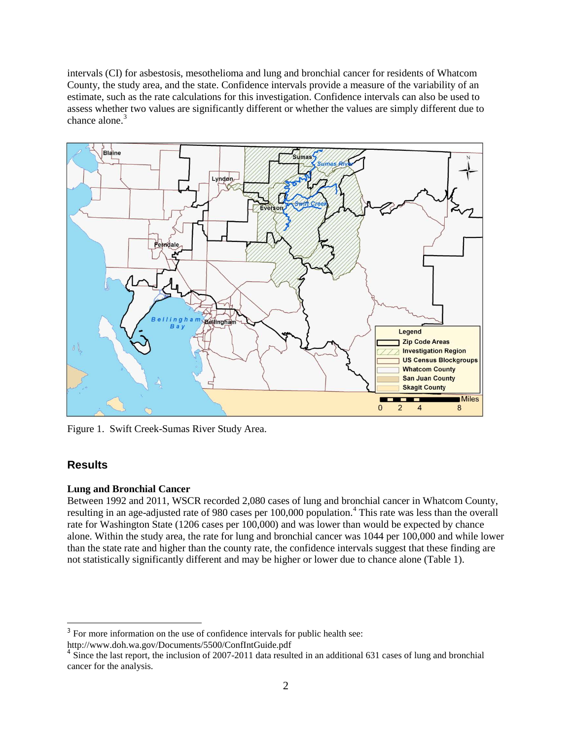intervals (CI) for asbestosis, mesothelioma and lung and bronchial cancer for residents of Whatcom County, the study area, and the state. Confidence intervals provide a measure of the variability of an estimate, such as the rate calculations for this investigation. Confidence intervals can also be used to assess whether two values are significantly different or whether the values are simply different due to chance alone.<sup>[3](#page-2-0)</sup>



Figure 1. Swift Creek-Sumas River Study Area.

# **Results**

 $\overline{a}$ 

#### **Lung and Bronchial Cancer**

Between 1992 and 2011, WSCR recorded 2,080 cases of lung and bronchial cancer in Whatcom County, resulting in an age-adjusted rate of 980 cases per 100,000 population. [4](#page-2-1) This rate was less than the overall rate for Washington State (1206 cases per 100,000) and was lower than would be expected by chance alone. Within the study area, the rate for lung and bronchial cancer was 1044 per 100,000 and while lower than the state rate and higher than the county rate, the confidence intervals suggest that these finding are not statistically significantly different and may be higher or lower due to chance alone (Table 1).

<span id="page-2-0"></span><sup>&</sup>lt;sup>3</sup> For more information on the use of confidence intervals for public health see: http://www.doh.wa.gov/Documents/5500/ConfIntGuide.pdf

<span id="page-2-1"></span><sup>&</sup>lt;sup>4</sup> Since the last report, the inclusion of 2007-2011 data resulted in an additional 631 cases of lung and bronchial cancer for the analysis.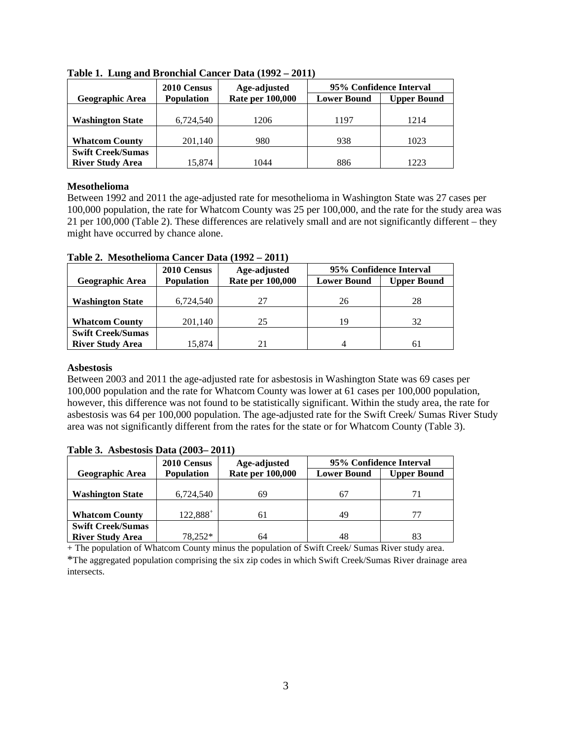|                          | 2010 Census       | Age-adjusted            | 95% Confidence Interval |                    |
|--------------------------|-------------------|-------------------------|-------------------------|--------------------|
| <b>Geographic Area</b>   | <b>Population</b> | <b>Rate per 100,000</b> | <b>Lower Bound</b>      | <b>Upper Bound</b> |
|                          |                   |                         |                         |                    |
| <b>Washington State</b>  | 6,724,540         | 1206                    | 1197                    | 1214               |
|                          |                   |                         |                         |                    |
| <b>Whatcom County</b>    | 201,140           | 980                     | 938                     | 1023               |
| <b>Swift Creek/Sumas</b> |                   |                         |                         |                    |
| <b>River Study Area</b>  | 15.874            | 1044                    | 886                     | 1223               |

**Table 1. Lung and Bronchial Cancer Data (1992 – 2011)** 

#### **Mesothelioma**

Between 1992 and 2011 the age-adjusted rate for mesothelioma in Washington State was 27 cases per 100,000 population, the rate for Whatcom County was 25 per 100,000, and the rate for the study area was 21 per 100,000 (Table 2). These differences are relatively small and are not significantly different – they might have occurred by chance alone.

|                          | 2010 Census       | Age-adjusted            | 95% Confidence Interval |                    |
|--------------------------|-------------------|-------------------------|-------------------------|--------------------|
| <b>Geographic Area</b>   | <b>Population</b> | <b>Rate per 100,000</b> | <b>Lower Bound</b>      | <b>Upper Bound</b> |
|                          |                   |                         |                         |                    |
| <b>Washington State</b>  | 6,724,540         | 27                      | 26                      | 28                 |
|                          |                   |                         |                         |                    |
| <b>Whatcom County</b>    | 201,140           | 25                      | 19                      | 32                 |
| <b>Swift Creek/Sumas</b> |                   |                         |                         |                    |
| <b>River Study Area</b>  | 15,874            |                         | 4                       |                    |

**Table 2. Mesothelioma Cancer Data (1992 – 2011)**

### **Asbestosis**

Between 2003 and 2011 the age-adjusted rate for asbestosis in Washington State was 69 cases per 100,000 population and the rate for Whatcom County was lower at 61 cases per 100,000 population, however, this difference was not found to be statistically significant. Within the study area, the rate for asbestosis was 64 per 100,000 population. The age-adjusted rate for the Swift Creek/ Sumas River Study area was not significantly different from the rates for the state or for Whatcom County (Table 3).

|                                                     | 2010 Census       | Age-adjusted            | 95% Confidence Interval |                    |
|-----------------------------------------------------|-------------------|-------------------------|-------------------------|--------------------|
| Geographic Area                                     | <b>Population</b> | <b>Rate per 100,000</b> | <b>Lower Bound</b>      | <b>Upper Bound</b> |
| <b>Washington State</b>                             | 6,724,540         | 69                      |                         | 71                 |
| <b>Whatcom County</b>                               | $122,888^+$       | 61                      | 49                      | 77                 |
| <b>Swift Creek/Sumas</b><br><b>River Study Area</b> | 78.252*           | 64                      | 48                      | 83                 |

## **Table 3. Asbestosis Data (2003– 2011)**

+ The population of Whatcom County minus the population of Swift Creek/ Sumas River study area.

\*The aggregated population comprising the six zip codes in which Swift Creek/Sumas River drainage area intersects.